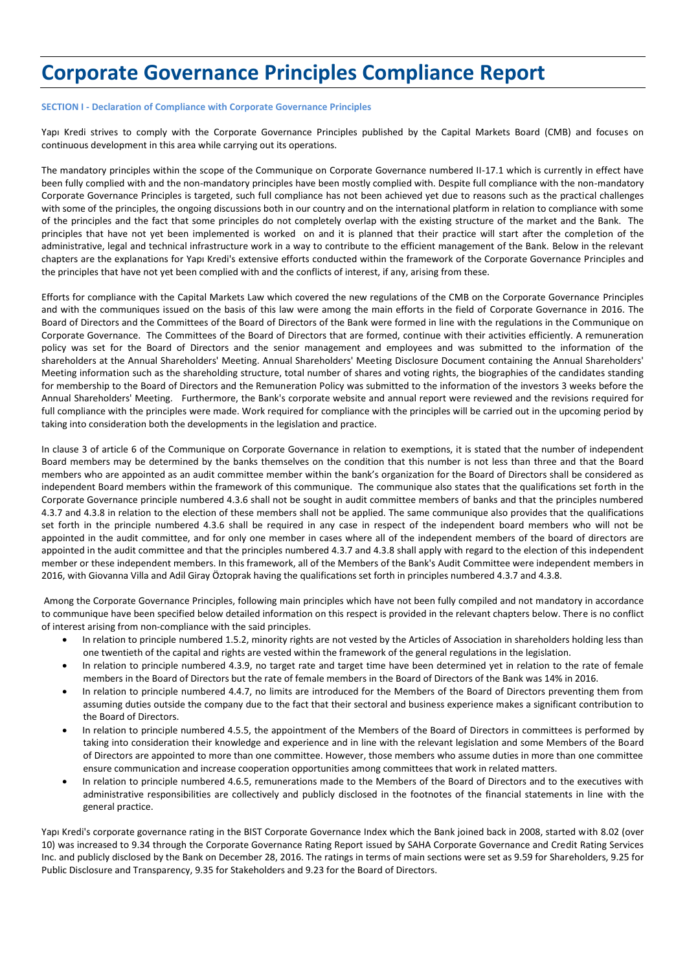# **Corporate Governance Principles Compliance Report**

# **SECTION I - Declaration of Compliance with Corporate Governance Principles**

Yapı Kredi strives to comply with the Corporate Governance Principles published by the Capital Markets Board (CMB) and focuses on continuous development in this area while carrying out its operations.

The mandatory principles within the scope of the Communique on Corporate Governance numbered II-17.1 which is currently in effect have been fully complied with and the non-mandatory principles have been mostly complied with. Despite full compliance with the non-mandatory Corporate Governance Principles is targeted, such full compliance has not been achieved yet due to reasons such as the practical challenges with some of the principles, the ongoing discussions both in our country and on the international platform in relation to compliance with some of the principles and the fact that some principles do not completely overlap with the existing structure of the market and the Bank. The principles that have not yet been implemented is worked on and it is planned that their practice will start after the completion of the administrative, legal and technical infrastructure work in a way to contribute to the efficient management of the Bank. Below in the relevant chapters are the explanations for Yapı Kredi's extensive efforts conducted within the framework of the Corporate Governance Principles and the principles that have not yet been complied with and the conflicts of interest, if any, arising from these.

Efforts for compliance with the Capital Markets Law which covered the new regulations of the CMB on the Corporate Governance Principles and with the communiques issued on the basis of this law were among the main efforts in the field of Corporate Governance in 2016. The Board of Directors and the Committees of the Board of Directors of the Bank were formed in line with the regulations in the Communique on Corporate Governance. The Committees of the Board of Directors that are formed, continue with their activities efficiently. A remuneration policy was set for the Board of Directors and the senior management and employees and was submitted to the information of the shareholders at the Annual Shareholders' Meeting. Annual Shareholders' Meeting Disclosure Document containing the Annual Shareholders' Meeting information such as the shareholding structure, total number of shares and voting rights, the biographies of the candidates standing for membership to the Board of Directors and the Remuneration Policy was submitted to the information of the investors 3 weeks before the Annual Shareholders' Meeting. Furthermore, the Bank's corporate website and annual report were reviewed and the revisions required for full compliance with the principles were made. Work required for compliance with the principles will be carried out in the upcoming period by taking into consideration both the developments in the legislation and practice.

In clause 3 of article 6 of the Communique on Corporate Governance in relation to exemptions, it is stated that the number of independent Board members may be determined by the banks themselves on the condition that this number is not less than three and that the Board members who are appointed as an audit committee member within the bank's organization for the Board of Directors shall be considered as independent Board members within the framework of this communique. The communique also states that the qualifications set forth in the Corporate Governance principle numbered 4.3.6 shall not be sought in audit committee members of banks and that the principles numbered 4.3.7 and 4.3.8 in relation to the election of these members shall not be applied. The same communique also provides that the qualifications set forth in the principle numbered 4.3.6 shall be required in any case in respect of the independent board members who will not be appointed in the audit committee, and for only one member in cases where all of the independent members of the board of directors are appointed in the audit committee and that the principles numbered 4.3.7 and 4.3.8 shall apply with regard to the election of this independent member or these independent members. In this framework, all of the Members of the Bank's Audit Committee were independent members in 2016, with Giovanna Villa and Adil Giray Öztoprak having the qualifications set forth in principles numbered 4.3.7 and 4.3.8.

Among the Corporate Governance Principles, following main principles which have not been fully compiled and not mandatory in accordance to communique have been specified below detailed information on this respect is provided in the relevant chapters below. There is no conflict of interest arising from non-compliance with the said principles.

- In relation to principle numbered 1.5.2, minority rights are not vested by the Articles of Association in shareholders holding less than one twentieth of the capital and rights are vested within the framework of the general regulations in the legislation.
- In relation to principle numbered 4.3.9, no target rate and target time have been determined yet in relation to the rate of female members in the Board of Directors but the rate of female members in the Board of Directors of the Bank was 14% in 2016.
- In relation to principle numbered 4.4.7, no limits are introduced for the Members of the Board of Directors preventing them from assuming duties outside the company due to the fact that their sectoral and business experience makes a significant contribution to the Board of Directors.
- In relation to principle numbered 4.5.5, the appointment of the Members of the Board of Directors in committees is performed by taking into consideration their knowledge and experience and in line with the relevant legislation and some Members of the Board of Directors are appointed to more than one committee. However, those members who assume duties in more than one committee ensure communication and increase cooperation opportunities among committees that work in related matters.
- In relation to principle numbered 4.6.5, remunerations made to the Members of the Board of Directors and to the executives with administrative responsibilities are collectively and publicly disclosed in the footnotes of the financial statements in line with the general practice.

Yapı Kredi's corporate governance rating in the BIST Corporate Governance Index which the Bank joined back in 2008, started with 8.02 (over 10) was increased to 9.34 through the Corporate Governance Rating Report issued by SAHA Corporate Governance and Credit Rating Services Inc. and publicly disclosed by the Bank on December 28, 2016. The ratings in terms of main sections were set as 9.59 for Shareholders, 9.25 for Public Disclosure and Transparency, 9.35 for Stakeholders and 9.23 for the Board of Directors.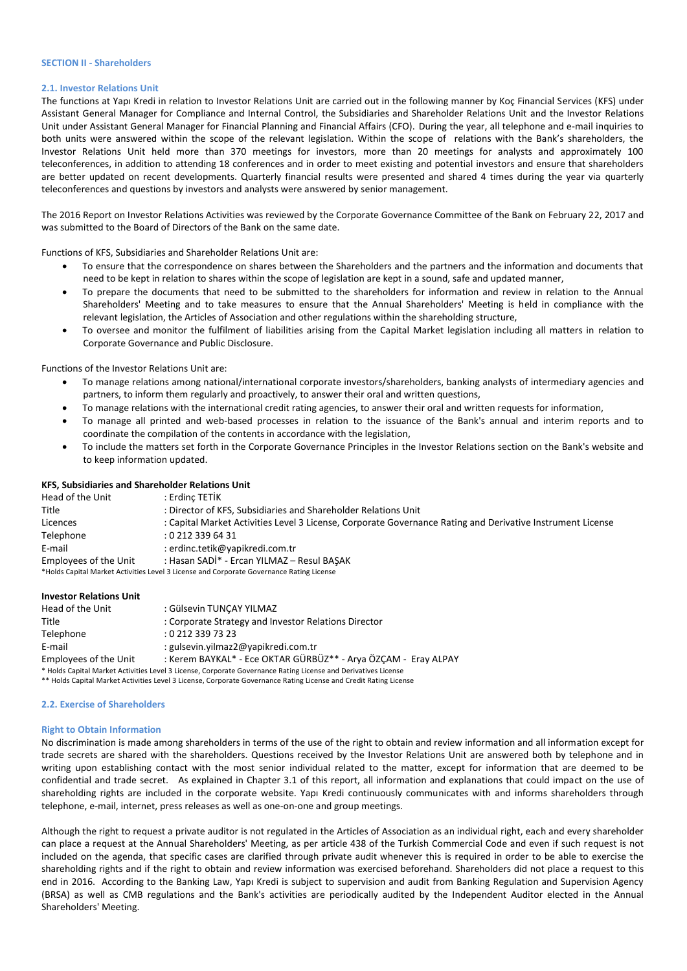#### **SECTION II - Shareholders**

# **2.1. Investor Relations Unit**

The functions at Yapı Kredi in relation to Investor Relations Unit are carried out in the following manner by Koç Financial Services (KFS) under Assistant General Manager for Compliance and Internal Control, the Subsidiaries and Shareholder Relations Unit and the Investor Relations Unit under Assistant General Manager for Financial Planning and Financial Affairs (CFO). During the year, all telephone and e-mail inquiries to both units were answered within the scope of the relevant legislation. Within the scope of relations with the Bank's shareholders, the Investor Relations Unit held more than 370 meetings for investors, more than 20 meetings for analysts and approximately 100 teleconferences, in addition to attending 18 conferences and in order to meet existing and potential investors and ensure that shareholders are better updated on recent developments. Quarterly financial results were presented and shared 4 times during the year via quarterly teleconferences and questions by investors and analysts were answered by senior management.

The 2016 Report on Investor Relations Activities was reviewed by the Corporate Governance Committee of the Bank on February 22, 2017 and was submitted to the Board of Directors of the Bank on the same date.

Functions of KFS, Subsidiaries and Shareholder Relations Unit are:

- To ensure that the correspondence on shares between the Shareholders and the partners and the information and documents that need to be kept in relation to shares within the scope of legislation are kept in a sound, safe and updated manner,
- To prepare the documents that need to be submitted to the shareholders for information and review in relation to the Annual Shareholders' Meeting and to take measures to ensure that the Annual Shareholders' Meeting is held in compliance with the relevant legislation, the Articles of Association and other regulations within the shareholding structure,
- To oversee and monitor the fulfilment of liabilities arising from the Capital Market legislation including all matters in relation to Corporate Governance and Public Disclosure.

Functions of the Investor Relations Unit are:

- To manage relations among national/international corporate investors/shareholders, banking analysts of intermediary agencies and partners, to inform them regularly and proactively, to answer their oral and written questions,
- To manage relations with the international credit rating agencies, to answer their oral and written requests for information,
- To manage all printed and web-based processes in relation to the issuance of the Bank's annual and interim reports and to coordinate the compilation of the contents in accordance with the legislation,
- To include the matters set forth in the Corporate Governance Principles in the Investor Relations section on the Bank's website and to keep information updated.

# **KFS, Subsidiaries and Shareholder Relations Unit**

| Head of the Unit             | : Erdinc TETİK                                                                                             |
|------------------------------|------------------------------------------------------------------------------------------------------------|
| Title                        | : Director of KFS, Subsidiaries and Shareholder Relations Unit                                             |
| Licences                     | : Capital Market Activities Level 3 License, Corporate Governance Rating and Derivative Instrument License |
| Telephone                    | :02123396431                                                                                               |
| E-mail                       | : erdinc.tetik@yapikredi.com.tr                                                                            |
| <b>Employees of the Unit</b> | : Hasan SADİ* - Ercan YILMAZ - Resul BAŞAK                                                                 |
|                              | *Holds Capital Market Activities Level 3 License and Corporate Governance Rating License                   |

# **Investor Relations Unit**

| Head of the Unit                                                                                                  | : Gülsevin TUNCAY YILMAZ                                       |  |  |
|-------------------------------------------------------------------------------------------------------------------|----------------------------------------------------------------|--|--|
| Title                                                                                                             | : Corporate Strategy and Investor Relations Director           |  |  |
| Telephone                                                                                                         | : 0 212 339 73 23                                              |  |  |
| E-mail                                                                                                            | : gulsevin.yilmaz2@yapikredi.com.tr                            |  |  |
| <b>Employees of the Unit</b>                                                                                      | : Kerem BAYKAL* - Ece OKTAR GÜRBÜZ** - Arya ÖZÇAM - Eray ALPAY |  |  |
| * Holds Capital Market Activities Level 3 License, Corporate Governance Rating License and Derivatives License    |                                                                |  |  |
| ** Holds Capital Market Activities Level 3 License, Corporate Governance Rating License and Credit Rating License |                                                                |  |  |

#### **2.2. Exercise of Shareholders**

# **Right to Obtain Information**

No discrimination is made among shareholders in terms of the use of the right to obtain and review information and all information except for trade secrets are shared with the shareholders. Questions received by the Investor Relations Unit are answered both by telephone and in writing upon establishing contact with the most senior individual related to the matter, except for information that are deemed to be confidential and trade secret. As explained in Chapter 3.1 of this report, all information and explanations that could impact on the use of shareholding rights are included in the corporate website. Yapı Kredi continuously communicates with and informs shareholders through telephone, e-mail, internet, press releases as well as one-on-one and group meetings.

Although the right to request a private auditor is not regulated in the Articles of Association as an individual right, each and every shareholder can place a request at the Annual Shareholders' Meeting, as per article 438 of the Turkish Commercial Code and even if such request is not included on the agenda, that specific cases are clarified through private audit whenever this is required in order to be able to exercise the shareholding rights and if the right to obtain and review information was exercised beforehand. Shareholders did not place a request to this end in 2016. According to the Banking Law, Yapı Kredi is subject to supervision and audit from Banking Regulation and Supervision Agency (BRSA) as well as CMB regulations and the Bank's activities are periodically audited by the Independent Auditor elected in the Annual Shareholders' Meeting.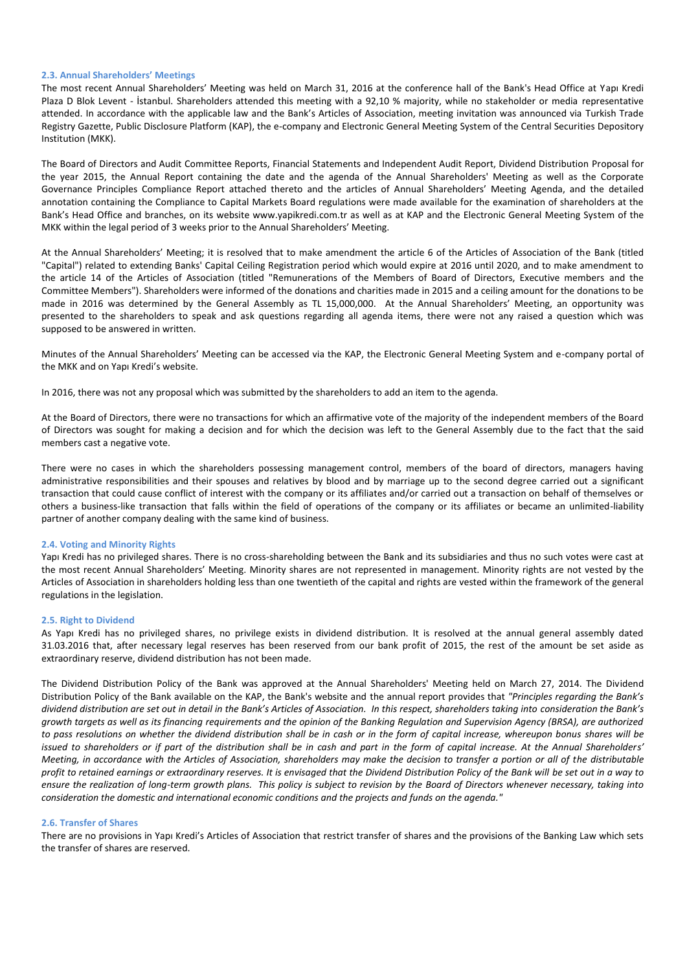## **2.3. Annual Shareholders' Meetings**

The most recent Annual Shareholders' Meeting was held on March 31, 2016 at the conference hall of the Bank's Head Office at Yapı Kredi Plaza D Blok Levent - İstanbul. Shareholders attended this meeting with a 92,10 % majority, while no stakeholder or media representative attended. In accordance with the applicable law and the Bank's Articles of Association, meeting invitation was announced via Turkish Trade Registry Gazette, Public Disclosure Platform (KAP), the e-company and Electronic General Meeting System of the Central Securities Depository Institution (MKK).

The Board of Directors and Audit Committee Reports, Financial Statements and Independent Audit Report, Dividend Distribution Proposal for the year 2015, the Annual Report containing the date and the agenda of the Annual Shareholders' Meeting as well as the Corporate Governance Principles Compliance Report attached thereto and the articles of Annual Shareholders' Meeting Agenda, and the detailed annotation containing the Compliance to Capital Markets Board regulations were made available for the examination of shareholders at the Bank's Head Office and branches, on its website www.yapikredi.com.tr as well as at KAP and the Electronic General Meeting System of the MKK within the legal period of 3 weeks prior to the Annual Shareholders' Meeting.

At the Annual Shareholders' Meeting; it is resolved that to make amendment the article 6 of the Articles of Association of the Bank (titled "Capital") related to extending Banks' Capital Ceiling Registration period which would expire at 2016 until 2020, and to make amendment to the article 14 of the Articles of Association (titled "Remunerations of the Members of Board of Directors, Executive members and the Committee Members"). Shareholders were informed of the donations and charities made in 2015 and a ceiling amount for the donations to be made in 2016 was determined by the General Assembly as TL 15,000,000. At the Annual Shareholders' Meeting, an opportunity was presented to the shareholders to speak and ask questions regarding all agenda items, there were not any raised a question which was supposed to be answered in written.

Minutes of the Annual Shareholders' Meeting can be accessed via the KAP, the Electronic General Meeting System and e-company portal of the MKK and on Yapı Kredi's website.

In 2016, there was not any proposal which was submitted by the shareholders to add an item to the agenda.

At the Board of Directors, there were no transactions for which an affirmative vote of the majority of the independent members of the Board of Directors was sought for making a decision and for which the decision was left to the General Assembly due to the fact that the said members cast a negative vote.

There were no cases in which the shareholders possessing management control, members of the board of directors, managers having administrative responsibilities and their spouses and relatives by blood and by marriage up to the second degree carried out a significant transaction that could cause conflict of interest with the company or its affiliates and/or carried out a transaction on behalf of themselves or others a business-like transaction that falls within the field of operations of the company or its affiliates or became an unlimited-liability partner of another company dealing with the same kind of business.

## **2.4. Voting and Minority Rights**

Yapı Kredi has no privileged shares. There is no cross-shareholding between the Bank and its subsidiaries and thus no such votes were cast at the most recent Annual Shareholders' Meeting. Minority shares are not represented in management. Minority rights are not vested by the Articles of Association in shareholders holding less than one twentieth of the capital and rights are vested within the framework of the general regulations in the legislation.

#### **2.5. Right to Dividend**

As Yapı Kredi has no privileged shares, no privilege exists in dividend distribution. It is resolved at the annual general assembly dated 31.03.2016 that, after necessary legal reserves has been reserved from our bank profit of 2015, the rest of the amount be set aside as extraordinary reserve, dividend distribution has not been made.

The Dividend Distribution Policy of the Bank was approved at the Annual Shareholders' Meeting held on March 27, 2014. The Dividend Distribution Policy of the Bank available on the KAP, the Bank's website and the annual report provides that *"Principles regarding the Bank's dividend distribution are set out in detail in the Bank's Articles of Association. In this respect, shareholders taking into consideration the Bank's growth targets as well as its financing requirements and the opinion of the Banking Regulation and Supervision Agency (BRSA), are authorized to pass resolutions on whether the dividend distribution shall be in cash or in the form of capital increase, whereupon bonus shares will be issued to shareholders or if part of the distribution shall be in cash and part in the form of capital increase. At the Annual Shareholders' Meeting, in accordance with the Articles of Association, shareholders may make the decision to transfer a portion or all of the distributable profit to retained earnings or extraordinary reserves. It is envisaged that the Dividend Distribution Policy of the Bank will be set out in a way to ensure the realization of long-term growth plans. This policy is subject to revision by the Board of Directors whenever necessary, taking into consideration the domestic and international economic conditions and the projects and funds on the agenda."*

#### **2.6. Transfer of Shares**

There are no provisions in Yapı Kredi's Articles of Association that restrict transfer of shares and the provisions of the Banking Law which sets the transfer of shares are reserved.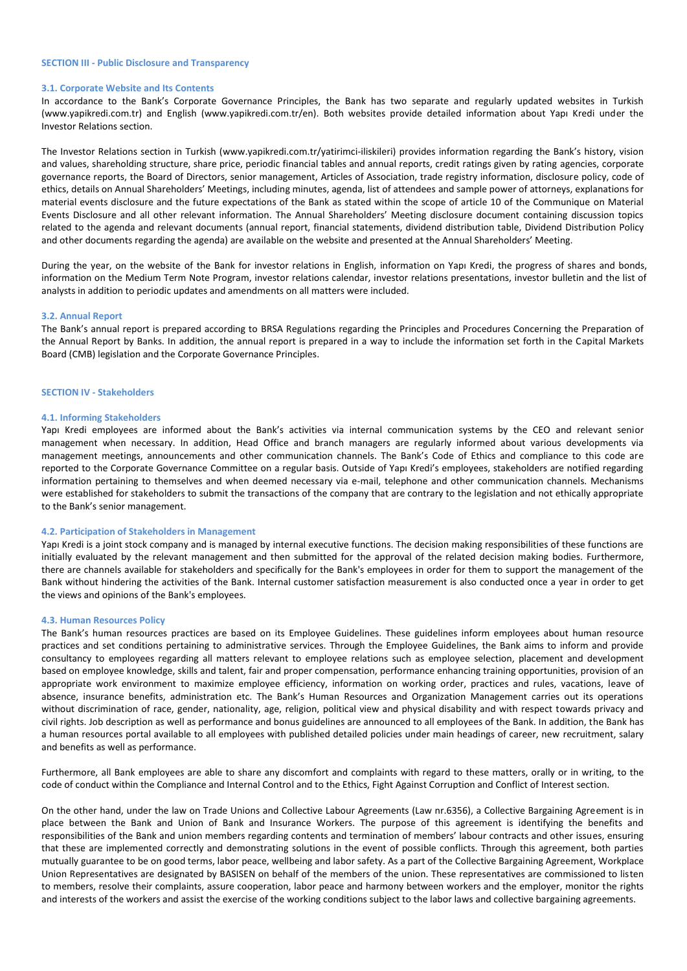#### **SECTION III - Public Disclosure and Transparency**

## **3.1. Corporate Website and Its Contents**

In accordance to the Bank's Corporate Governance Principles, the Bank has two separate and regularly updated websites in Turkish (www.yapikredi.com.tr) and English (www.yapikredi.com.tr/en). Both websites provide detailed information about Yapı Kredi under the Investor Relations section.

The Investor Relations section in Turkish (www.yapikredi.com.tr/yatirimci-iliskileri) provides information regarding the Bank's history, vision and values, shareholding structure, share price, periodic financial tables and annual reports, credit ratings given by rating agencies, corporate governance reports, the Board of Directors, senior management, Articles of Association, trade registry information, disclosure policy, code of ethics, details on Annual Shareholders' Meetings, including minutes, agenda, list of attendees and sample power of attorneys, explanations for material events disclosure and the future expectations of the Bank as stated within the scope of article 10 of the Communique on Material Events Disclosure and all other relevant information. The Annual Shareholders' Meeting disclosure document containing discussion topics related to the agenda and relevant documents (annual report, financial statements, dividend distribution table, Dividend Distribution Policy and other documents regarding the agenda) are available on the website and presented at the Annual Shareholders' Meeting.

During the year, on the website of the Bank for investor relations in English, information on Yapı Kredi, the progress of shares and bonds, information on the Medium Term Note Program, investor relations calendar, investor relations presentations, investor bulletin and the list of analysts in addition to periodic updates and amendments on all matters were included.

#### **3.2. Annual Report**

The Bank's annual report is prepared according to BRSA Regulations regarding the Principles and Procedures Concerning the Preparation of the Annual Report by Banks. In addition, the annual report is prepared in a way to include the information set forth in the Capital Markets Board (CMB) legislation and the Corporate Governance Principles.

# **SECTION IV - Stakeholders**

#### **4.1. Informing Stakeholders**

Yapı Kredi employees are informed about the Bank's activities via internal communication systems by the CEO and relevant senior management when necessary. In addition, Head Office and branch managers are regularly informed about various developments via management meetings, announcements and other communication channels. The Bank's Code of Ethics and compliance to this code are reported to the Corporate Governance Committee on a regular basis. Outside of Yapı Kredi's employees, stakeholders are notified regarding information pertaining to themselves and when deemed necessary via e-mail, telephone and other communication channels. Mechanisms were established for stakeholders to submit the transactions of the company that are contrary to the legislation and not ethically appropriate to the Bank's senior management.

#### **4.2. Participation of Stakeholders in Management**

Yapı Kredi is a joint stock company and is managed by internal executive functions. The decision making responsibilities of these functions are initially evaluated by the relevant management and then submitted for the approval of the related decision making bodies. Furthermore, there are channels available for stakeholders and specifically for the Bank's employees in order for them to support the management of the Bank without hindering the activities of the Bank. Internal customer satisfaction measurement is also conducted once a year in order to get the views and opinions of the Bank's employees.

#### **4.3. Human Resources Policy**

The Bank's human resources practices are based on its Employee Guidelines. These guidelines inform employees about human resource practices and set conditions pertaining to administrative services. Through the Employee Guidelines, the Bank aims to inform and provide consultancy to employees regarding all matters relevant to employee relations such as employee selection, placement and development based on employee knowledge, skills and talent, fair and proper compensation, performance enhancing training opportunities, provision of an appropriate work environment to maximize employee efficiency, information on working order, practices and rules, vacations, leave of absence, insurance benefits, administration etc. The Bank's Human Resources and Organization Management carries out its operations without discrimination of race, gender, nationality, age, religion, political view and physical disability and with respect towards privacy and civil rights. Job description as well as performance and bonus guidelines are announced to all employees of the Bank. In addition, the Bank has a human resources portal available to all employees with published detailed policies under main headings of career, new recruitment, salary and benefits as well as performance.

Furthermore, all Bank employees are able to share any discomfort and complaints with regard to these matters, orally or in writing, to the code of conduct within the Compliance and Internal Control and to the Ethics, Fight Against Corruption and Conflict of Interest section.

On the other hand, under the law on Trade Unions and Collective Labour Agreements (Law nr.6356), a Collective Bargaining Agreement is in place between the Bank and Union of Bank and Insurance Workers. The purpose of this agreement is identifying the benefits and responsibilities of the Bank and union members regarding contents and termination of members' labour contracts and other issues, ensuring that these are implemented correctly and demonstrating solutions in the event of possible conflicts. Through this agreement, both parties mutually guarantee to be on good terms, labor peace, wellbeing and labor safety. As a part of the Collective Bargaining Agreement, Workplace Union Representatives are designated by BASISEN on behalf of the members of the union. These representatives are commissioned to listen to members, resolve their complaints, assure cooperation, labor peace and harmony between workers and the employer, monitor the rights and interests of the workers and assist the exercise of the working conditions subject to the labor laws and collective bargaining agreements.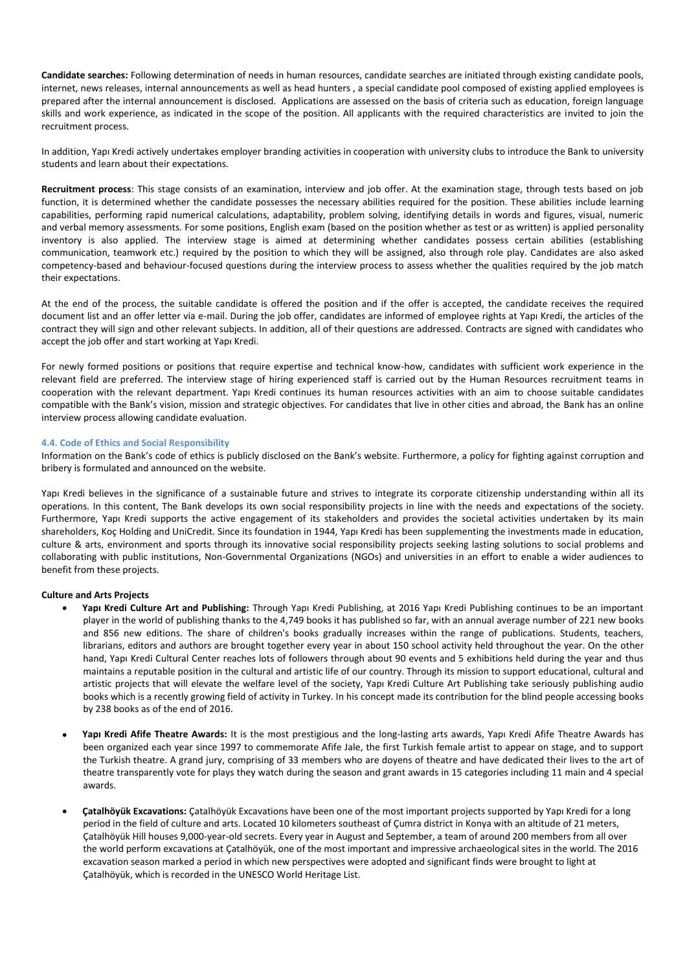**Candidate searches:** Following determination of needs in human resources, candidate searches are initiated through existing candidate pools, internet, news releases, internal announcements as well as head hunters , a special candidate pool composed of existing applied employees is prepared after the internal announcement is disclosed. Applications are assessed on the basis of criteria such as education, foreign language skills and work experience, as indicated in the scope of the position. All applicants with the required characteristics are invited to join the recruitment process.

In addition, Yapı Kredi actively undertakes employer branding activities in cooperation with university clubs to introduce the Bank to university students and learn about their expectations.

**Recruitment process**: This stage consists of an examination, interview and job offer. At the examination stage, through tests based on job function, it is determined whether the candidate possesses the necessary abilities required for the position. These abilities include learning capabilities, performing rapid numerical calculations, adaptability, problem solving, identifying details in words and figures, visual, numeric and verbal memory assessments. For some positions, English exam (based on the position whether as test or as written) is applied personality inventory is also applied. The interview stage is aimed at determining whether candidates possess certain abilities (establishing communication, teamwork etc.) required by the position to which they will be assigned, also through role play. Candidates are also asked competency-based and behaviour-focused questions during the interview process to assess whether the qualities required by the job match their expectations.

At the end of the process, the suitable candidate is offered the position and if the offer is accepted, the candidate receives the required document list and an offer letter via e-mail. During the job offer, candidates are informed of employee rights at Yapı Kredi, the articles of the contract they will sign and other relevant subjects. In addition, all of their questions are addressed. Contracts are signed with candidates who accept the job offer and start working at Yapı Kredi.

For newly formed positions or positions that require expertise and technical know-how, candidates with sufficient work experience in the relevant field are preferred. The interview stage of hiring experienced staff is carried out by the Human Resources recruitment teams in cooperation with the relevant department. Yapı Kredi continues its human resources activities with an aim to choose suitable candidates compatible with the Bank's vision, mission and strategic objectives. For candidates that live in other cities and abroad, the Bank has an online interview process allowing candidate evaluation.

# **4.4. Code of Ethics and Social Responsibility**

Information on the Bank's code of ethics is publicly disclosed on the Bank's website. Furthermore, a policy for fighting against corruption and bribery is formulated and announced on the website.

Yapı Kredi believes in the significance of a sustainable future and strives to integrate its corporate citizenship understanding within all its operations. In this content, The Bank develops its own social responsibility projects in line with the needs and expectations of the society. Furthermore, Yapı Kredi supports the active engagement of its stakeholders and provides the societal activities undertaken by its main shareholders, Koç Holding and UniCredit. Since its foundation in 1944, Yapı Kredi has been supplementing the investments made in education, culture & arts, environment and sports through its innovative social responsibility projects seeking lasting solutions to social problems and collaborating with public institutions, Non-Governmental Organizations (NGOs) and universities in an effort to enable a wider audiences to benefit from these projects.

# **Culture and Arts Projects**

- **Yapı Kredi Culture Art and Publishing:** Through Yapı Kredi Publishing, at 2016 Yapı Kredi Publishing continues to be an important player in the world of publishing thanks to the 4,749 books it has published so far, with an annual average number of 221 new books and 856 new editions. The share of children's books gradually increases within the range of publications. Students, teachers, librarians, editors and authors are brought together every year in about 150 school activity held throughout the year. On the other hand, Yapı Kredi Cultural Center reaches lots of followers through about 90 events and 5 exhibitions held during the year and thus maintains a reputable position in the cultural and artistic life of our country. Through its mission to support educational, cultural and artistic projects that will elevate the welfare level of the society, Yapı Kredi Culture Art Publishing take seriously publishing audio books which is a recently growing field of activity in Turkey. In his concept made its contribution for the blind people accessing books by 238 books as of the end of 2016.
- **Yapı Kredi Afife Theatre Awards:** It is the most prestigious and the long-lasting arts awards, Yapı Kredi Afife Theatre Awards has been organized each year since 1997 to commemorate Afife Jale, the first Turkish female artist to appear on stage, and to support the Turkish theatre. A grand jury, comprising of 33 members who are doyens of theatre and have dedicated their lives to the art of theatre transparently vote for plays they watch during the season and grant awards in 15 categories including 11 main and 4 special awards.
- **Çatalhöyük Excavations:** Çatalhöyük Excavations have been one of the most important projects supported by Yapı Kredi for a long period in the field of culture and arts. Located 10 kilometers southeast of Çumra district in Konya with an altitude of 21 meters, Çatalhöyük Hill houses 9,000-year-old secrets. Every year in August and September, a team of around 200 members from all over the world perform excavations at Çatalhöyük, one of the most important and impressive archaeological sites in the world. The 2016 excavation season marked a period in which new perspectives were adopted and significant finds were brought to light at Çatalhöyük, which is recorded in the UNESCO World Heritage List.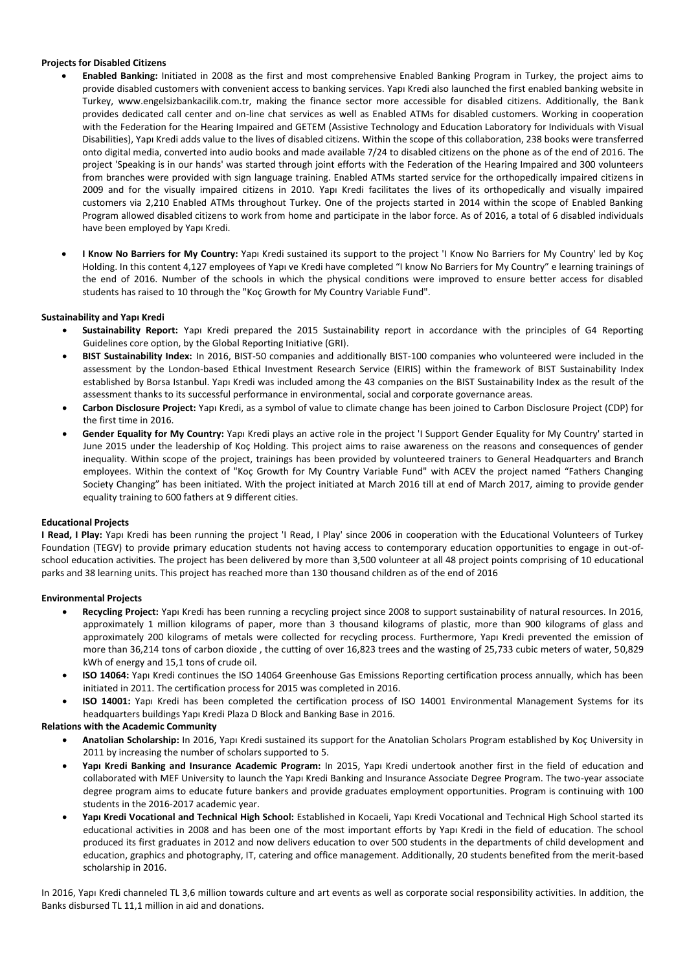# **Projects for Disabled Citizens**

- **Enabled Banking:** Initiated in 2008 as the first and most comprehensive Enabled Banking Program in Turkey, the project aims to provide disabled customers with convenient access to banking services. Yapı Kredi also launched the first enabled banking website in Turkey, www.engelsizbankacilik.com.tr, making the finance sector more accessible for disabled citizens. Additionally, the Bank provides dedicated call center and on-line chat services as well as Enabled ATMs for disabled customers. Working in cooperation with the Federation for the Hearing Impaired and GETEM (Assistive Technology and Education Laboratory for Individuals with Visual Disabilities), Yapı Kredi adds value to the lives of disabled citizens. Within the scope of this collaboration, 238 books were transferred onto digital media, converted into audio books and made available 7/24 to disabled citizens on the phone as of the end of 2016. The project 'Speaking is in our hands' was started through joint efforts with the Federation of the Hearing Impaired and 300 volunteers from branches were provided with sign language training. Enabled ATMs started service for the orthopedically impaired citizens in 2009 and for the visually impaired citizens in 2010. Yapı Kredi facilitates the lives of its orthopedically and visually impaired customers via 2,210 Enabled ATMs throughout Turkey. One of the projects started in 2014 within the scope of Enabled Banking Program allowed disabled citizens to work from home and participate in the labor force. As of 2016, a total of 6 disabled individuals have been employed by Yapı Kredi.
- **I Know No Barriers for My Country:** Yapı Kredi sustained its support to the project 'I Know No Barriers for My Country' led by Koç Holding. In this content 4,127 employees of Yapı ve Kredi have completed "I know No Barriers for My Country" e learning trainings of the end of 2016. Number of the schools in which the physical conditions were improved to ensure better access for disabled students has raised to 10 through the "Koç Growth for My Country Variable Fund".

# **Sustainability and Yapı Kredi**

- **Sustainability Report:** Yapı Kredi prepared the 2015 Sustainability report in accordance with the principles of G4 Reporting Guidelines core option, by the Global Reporting Initiative (GRI).
- **BIST Sustainability Index:** In 2016, BIST-50 companies and additionally BIST-100 companies who volunteered were included in the assessment by the London-based Ethical Investment Research Service (EIRIS) within the framework of BIST Sustainability Index established by Borsa Istanbul. Yapı Kredi was included among the 43 companies on the BIST Sustainability Index as the result of the assessment thanks to its successful performance in environmental, social and corporate governance areas.
- **Carbon Disclosure Project:** Yapı Kredi, as a symbol of value to climate change has been joined to Carbon Disclosure Project (CDP) for the first time in 2016.
- **Gender Equality for My Country:** Yapı Kredi plays an active role in the project 'I Support Gender Equality for My Country' started in June 2015 under the leadership of Koç Holding. This project aims to raise awareness on the reasons and consequences of gender inequality. Within scope of the project, trainings has been provided by volunteered trainers to General Headquarters and Branch employees. Within the context of "Koç Growth for My Country Variable Fund" with ACEV the project named "Fathers Changing Society Changing" has been initiated. With the project initiated at March 2016 till at end of March 2017, aiming to provide gender equality training to 600 fathers at 9 different cities.

# **Educational Projects**

**I Read, I Play:** Yapı Kredi has been running the project 'I Read, I Play' since 2006 in cooperation with the Educational Volunteers of Turkey Foundation (TEGV) to provide primary education students not having access to contemporary education opportunities to engage in out-ofschool education activities. The project has been delivered by more than 3,500 volunteer at all 48 project points comprising of 10 educational parks and 38 learning units. This project has reached more than 130 thousand children as of the end of 2016

# **Environmental Projects**

- **Recycling Project:** Yapı Kredi has been running a recycling project since 2008 to support sustainability of natural resources. In 2016, approximately 1 million kilograms of paper, more than 3 thousand kilograms of plastic, more than 900 kilograms of glass and approximately 200 kilograms of metals were collected for recycling process. Furthermore, Yapı Kredi prevented the emission of more than 36,214 tons of carbon dioxide , the cutting of over 16,823 trees and the wasting of 25,733 cubic meters of water, 50,829 kWh of energy and 15,1 tons of crude oil.
- **ISO 14064:** Yapı Kredi continues the ISO 14064 Greenhouse Gas Emissions Reporting certification process annually, which has been initiated in 2011. The certification process for 2015 was completed in 2016.
- **ISO 14001:** Yapı Kredi has been completed the certification process of ISO 14001 Environmental Management Systems for its headquarters buildings Yapı Kredi Plaza D Block and Banking Base in 2016.

# **Relations with the Academic Community**

- **Anatolian Scholarship:** In 2016, Yapı Kredi sustained its support for the Anatolian Scholars Program established by Koç University in 2011 by increasing the number of scholars supported to 5.
- **Yapı Kredi Banking and Insurance Academic Program:** In 2015, Yapı Kredi undertook another first in the field of education and collaborated with MEF University to launch the Yapı Kredi Banking and Insurance Associate Degree Program. The two-year associate degree program aims to educate future bankers and provide graduates employment opportunities. Program is continuing with 100 students in the 2016-2017 academic year.
- **Yapı Kredi Vocational and Technical High School:** Established in Kocaeli, Yapı Kredi Vocational and Technical High School started its educational activities in 2008 and has been one of the most important efforts by Yapı Kredi in the field of education. The school produced its first graduates in 2012 and now delivers education to over 500 students in the departments of child development and education, graphics and photography, IT, catering and office management. Additionally, 20 students benefited from the merit-based scholarship in 2016.

In 2016, Yapı Kredi channeled TL 3,6 million towards culture and art events as well as corporate social responsibility activities. In addition, the Banks disbursed TL 11,1 million in aid and donations.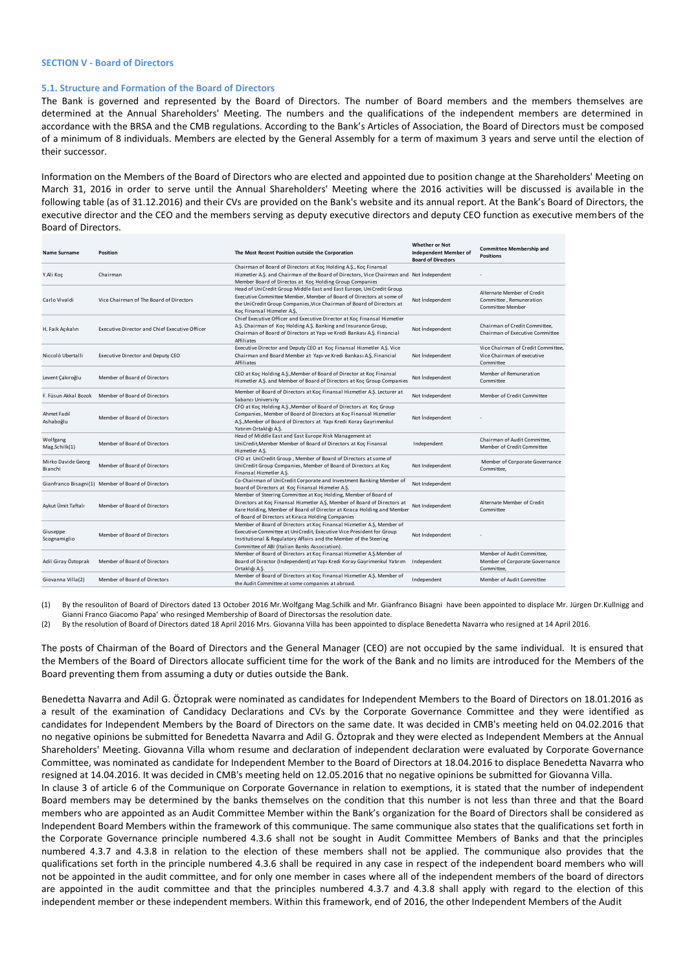## **SECTION V - Board of Directors**

# **5.1. Structure and Formation of the Board of Directors**

The Bank is governed and represented by the Board of Directors. The number of Board members and the members themselves are determined at the Annual Shareholders' Meeting. The numbers and the qualifications of the independent members are determined in accordance with the BRSA and the CMB regulations. According to the Bank's Articles of Association, the Board of Directors must be composed of a minimum of 8 individuals. Members are elected by the General Assembly for a term of maximum 3 years and serve until the election of their successor.

Information on the Members of the Board of Directors who are elected and appointed due to position change at the Shareholders' Meeting on March 31, 2016 in order to serve until the Annual Shareholders' Meeting where the 2016 activities will be discussed is available in the following table (as of 31.12.2016) and their CVs are provided on the Bank's website and its annual report. At the Bank's Board of Directors, the executive director and the CEO and the members serving as deputy executive directors and deputy CEO function as executive members of the Board of Directors.

| Name Surname                  | <b>Position</b>                                       | The Most Recent Position outside the Corporation                                                                                                                                                                                                                           | <b>Whether or Not</b><br><b>Independent Member of</b><br><b>Board of Directors</b> | <b>Committee Membership and</b><br><b>Positions</b>                              |
|-------------------------------|-------------------------------------------------------|----------------------------------------------------------------------------------------------------------------------------------------------------------------------------------------------------------------------------------------------------------------------------|------------------------------------------------------------------------------------|----------------------------------------------------------------------------------|
| Y.Ali Koc                     | Chairman                                              | Chairman of Board of Directors at Koç Holding A.Ş., Koç Finansal<br>Hizmetler A.S. and Chairman of the Board of Directors, Vice Chairman and Not Independent<br>Member Board of Directos at Koç Holding Group Companies                                                    |                                                                                    |                                                                                  |
| Carlo Vivaldi                 | Vice Chairman of The Board of Directors               | Head of UniCredit Group Middle East and East Europe, UniCredit Group<br>Executive Committee Member, Member of Board of Directors at some of<br>the UniCredit Group Companies, Vice Chairman of Board of Directors at<br>Koc Finansal Hizmeler A.S.                         | Not independent                                                                    | Alternate Member of Credit<br>Committee, Remuneration<br><b>Committee Member</b> |
| H. Faik Açıkalın              | <b>Executive Director and Chief Executive Officer</b> | Chief Executive Officer and Executive Director at Koc Finansal Hizmetler<br>A.S. Chairman of Koc Holding A.S. Banking and Insurance Group,<br>Chairman of Board of Directors at Yapı ve Kredi Bankası A.Ş. Financial<br>Affiliates                                         | Not independent                                                                    | Chairman of Credit Committee,<br>Chairman of Executive Committee                 |
| Niccolò Ubertalli             | <b>Executive Director and Deputy CEO</b>              | Executive Director and Deputy CEO at Koç Finansal Hizmetler A.S. Vice<br>Chairman and Board Member at Yapı ve Kredi Bankası A.Ş, Financial<br>Affiliates                                                                                                                   | Not independent                                                                    | Vice Chairman of Credit Committee,<br>Vice Chairman of executive<br>Committee    |
| Levent Çakıroğlu              | Member of Board of Directors                          | CEO at Koc Holding A.S., Member of Board of Director at Koc Finansal<br>Hizmetler A.S. and Member of Board of Directors at Koç Group Companies                                                                                                                             | Not independent                                                                    | Member of Remuneration<br>Committee                                              |
| F. Füsun Akkal Bozok          | Member of Board of Directors                          | Member of Board of Directors at Koç Finansal Hizmetler A.Ş. Lecturer at<br>Sabancı University                                                                                                                                                                              | Not Independent                                                                    | Member of Credit Committee                                                       |
| Ahmet Fadıl<br>Ashaboğlu      | Member of Board of Directors                          | CFO at Koc Holding A.S., Member of Board of Directors at Koc Group<br>Companies, Member of Board of Directors at Koç Finansal Hizmetler<br>A.S., Member of Board of Directors at Yapı Kredi Koray Gayrimenkul<br>Yatırım Ortaklığı A.Ş.                                    | Not independent                                                                    |                                                                                  |
| Wolfgang<br>Mag.Schilk(1)     | Member of Board of Directors                          | Head of Middle East and East Europe Risk Management at<br>UniCredit, Member Member of Board of Directors at Koç Finansal<br>Hizmetler A.S.                                                                                                                                 | Independent                                                                        | Chairman of Audit Committee.<br>Member of Credit Committee                       |
| Mirko Davide Georg<br>Bianchi | Member of Board of Directors                          | CFO at UniCredit Group, Member of Board of Directors at some of<br>UniCredit Group Companies, Member of Board of Directors at Koç<br>Finansal Hizmetler A.S.                                                                                                               | Not Independent                                                                    | Member of Corporate Governance<br>Committee,                                     |
|                               | Gianfranco Bisagni(1) Member of Board of Directors    | Co-Chairman of UniCredit Corporate and Investment Banking Member of<br>board of Directors at Koç Finansal Hizmeler A.Ş.                                                                                                                                                    | Not Independent                                                                    |                                                                                  |
| Aykut Ümit Taftalı            | Member of Board of Directors                          | Member of Steering Committee at Koc Holding, Member of Board of<br>Directors at Koç Finansal Hizmetler A.Ş, Member of Board of Directors at<br>Kare Holding, Member of Board of Director at Kıraca Holding and Member<br>of Board of Directors at Kıraca Holding Companies | Not Independent                                                                    | Alternate Member of Credit<br>Committee                                          |
| Giuseppe<br>Scognamiglio      | Member of Board of Directors                          | Member of Board of Directors at Koç Finansal Hizmetler A.Ş, Member of<br>Executive Committee at UniCredit, Executive Vice President for Group<br>Institutional & Regulatory Affairs and the Member of the Steering<br>Committee of ABI (Italian Banks Association).        | Not Independent                                                                    |                                                                                  |
| Adil Giray Öztoprak           | Member of Board of Directors                          | Member of Board of Directors at Koç Finansal Hizmetler A.S.Member of<br>Board of Director (Independent) at Yapı Kredi Koray Gayrimenkul Yatırım<br>Ortaklığı A.Ş.                                                                                                          | Independent                                                                        | Member of Audit Committee,<br>Member of Corporate Governance<br>Committee,       |
| Giovanna Villa(2)             | Member of Board of Directors                          | Member of Board of Directors at Koç Finansal Hizmetler A.Ş. Member of<br>the Audit Committee at some companies at abroad.                                                                                                                                                  | Independent                                                                        | Member of Audit Committee                                                        |

(1) By the resouliton of Board of Directors dated 13 October 2016 Mr.Wolfgang Mag.Schilk and Mr. Gianfranco Bisagni have been appointed to displace Mr. Jürgen Dr.Kullnigg and Gianni Franco Giacomo Papa' who resinged Membership of Board of Directorsas the resolution date.

By the resolution of Board of Directors dated 18 April 2016 Mrs. Giovanna Villa has been appointed to displace Benedetta Navarra who resigned at 14 April 2016.

The posts of Chairman of the Board of Directors and the General Manager (CEO) are not occupied by the same individual. It is ensured that the Members of the Board of Directors allocate sufficient time for the work of the Bank and no limits are introduced for the Members of the Board preventing them from assuming a duty or duties outside the Bank.

Benedetta Navarra and Adil G. Öztoprak were nominated as candidates for Independent Members to the Board of Directors on 18.01.2016 as a result of the examination of Candidacy Declarations and CVs by the Corporate Governance Committee and they were identified as candidates for Independent Members by the Board of Directors on the same date. It was decided in CMB's meeting held on 04.02.2016 that no negative opinions be submitted for Benedetta Navarra and Adil G. Öztoprak and they were elected as Independent Members at the Annual Shareholders' Meeting. Giovanna Villa whom resume and declaration of independent declaration were evaluated by Corporate Governance Committee, was nominated as candidate for Independent Member to the Board of Directors at 18.04.2016 to displace Benedetta Navarra who resigned at 14.04.2016. It was decided in CMB's meeting held on 12.05.2016 that no negative opinions be submitted for Giovanna Villa.

In clause 3 of article 6 of the Communique on Corporate Governance in relation to exemptions, it is stated that the number of independent Board members may be determined by the banks themselves on the condition that this number is not less than three and that the Board members who are appointed as an Audit Committee Member within the Bank's organization for the Board of Directors shall be considered as Independent Board Members within the framework of this communique. The same communique also states that the qualifications set forth in the Corporate Governance principle numbered 4.3.6 shall not be sought in Audit Committee Members of Banks and that the principles numbered 4.3.7 and 4.3.8 in relation to the election of these members shall not be applied. The communique also provides that the qualifications set forth in the principle numbered 4.3.6 shall be required in any case in respect of the independent board members who will not be appointed in the audit committee, and for only one member in cases where all of the independent members of the board of directors are appointed in the audit committee and that the principles numbered 4.3.7 and 4.3.8 shall apply with regard to the election of this independent member or these independent members. Within this framework, end of 2016, the other Independent Members of the Audit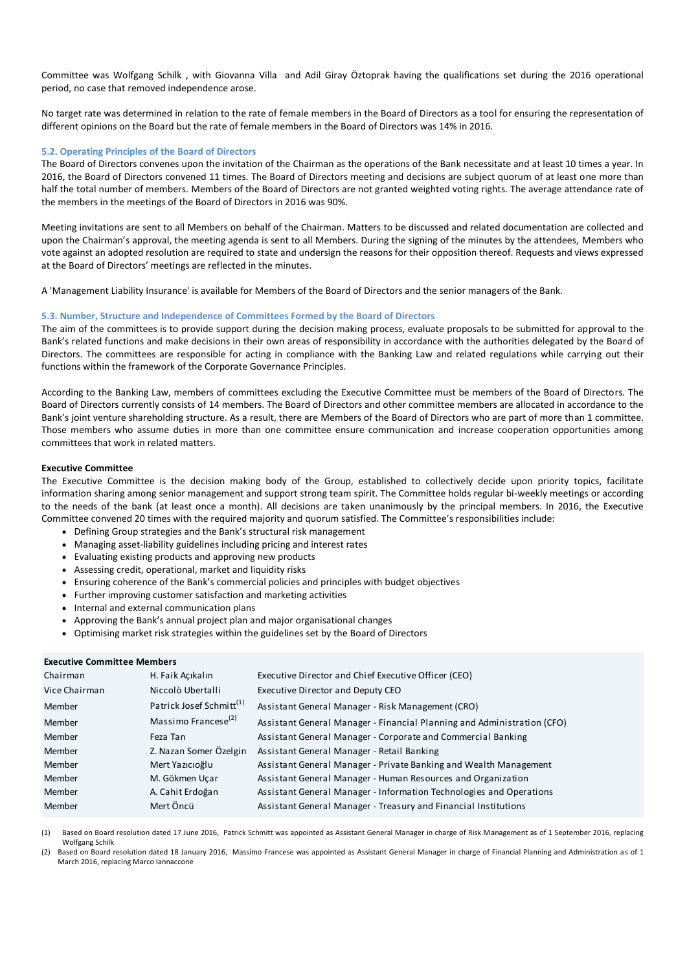Committee was Wolfgang Schilk , with Giovanna Villa and Adil Giray Öztoprak having the qualifications set during the 2016 operational period, no case that removed independence arose.

No target rate was determined in relation to the rate of female members in the Board of Directors as a tool for ensuring the representation of different opinions on the Board but the rate of female members in the Board of Directors was 14% in 2016.

# **5.2. Operating Principles of the Board of Directors**

The Board of Directors convenes upon the invitation of the Chairman as the operations of the Bank necessitate and at least 10 times a year. In 2016, the Board of Directors convened 11 times. The Board of Directors meeting and decisions are subject quorum of at least one more than half the total number of members. Members of the Board of Directors are not granted weighted voting rights. The average attendance rate of the members in the meetings of the Board of Directors in 2016 was 90%.

Meeting invitations are sent to all Members on behalf of the Chairman. Matters to be discussed and related documentation are collected and upon the Chairman's approval, the meeting agenda is sent to all Members. During the signing of the minutes by the attendees, Members who vote against an adopted resolution are required to state and undersign the reasons for their opposition thereof. Requests and views expressed at the Board of Directors' meetings are reflected in the minutes.

A 'Management Liability Insurance' is available for Members of the Board of Directors and the senior managers of the Bank.

# **5.3. Number, Structure and Independence of Committees Formed by the Board of Directors**

The aim of the committees is to provide support during the decision making process, evaluate proposals to be submitted for approval to the Bank's related functions and make decisions in their own areas of responsibility in accordance with the authorities delegated by the Board of Directors. The committees are responsible for acting in compliance with the Banking Law and related regulations while carrying out their functions within the framework of the Corporate Governance Principles.

According to the Banking Law, members of committees excluding the Executive Committee must be members of the Board of Directors. The Board of Directors currently consists of 14 members. The Board of Directors and other committee members are allocated in accordance to the Bank's joint venture shareholding structure. As a result, there are Members of the Board of Directors who are part of more than 1 committee. Those members who assume duties in more than one committee ensure communication and increase cooperation opportunities among committees that work in related matters.

## **Executive Committee**

The Executive Committee is the decision making body of the Group, established to collectively decide upon priority topics, facilitate information sharing among senior management and support strong team spirit. The Committee holds regular bi-weekly meetings or according to the needs of the bank (at least once a month). All decisions are taken unanimously by the principal members. In 2016, the Executive Committee convened 20 times with the required majority and quorum satisfied. The Committee's responsibilities include:

- Defining Group strategies and the Bank's structural risk management
- Managing asset-liability guidelines including pricing and interest rates
- Evaluating existing products and approving new products
- Assessing credit, operational, market and liquidity risks
- Ensuring coherence of the Bank's commercial policies and principles with budget objectives
- Further improving customer satisfaction and marketing activities
- Internal and external communication plans
- Approving the Bank's annual project plan and major organisational changes
- Optimising market risk strategies within the guidelines set by the Board of Directors

# **Executive Committee Members**

| LACLULIVE CUITIIIILLEE IVIEIIIDEI S |                                      |                                                                         |
|-------------------------------------|--------------------------------------|-------------------------------------------------------------------------|
| Chairman                            | H. Faik Açıkalın                     | Executive Director and Chief Executive Officer (CEO)                    |
| Vice Chairman                       | Niccolò Ubertalli                    | Executive Director and Deputy CEO                                       |
| Member                              | Patrick Josef Schmitt <sup>(1)</sup> | Assistant General Manager - Risk Management (CRO)                       |
| Member                              | Massimo Francese <sup>(2)</sup>      | Assistant General Manager - Financial Planning and Administration (CFO) |
| Member                              | Feza Tan                             | Assistant General Manager - Corporate and Commercial Banking            |
| Member                              | Z. Nazan Somer Özelgin               | Assistant General Manager - Retail Banking                              |
| Member                              | Mert Yazıcıoğlu                      | Assistant General Manager - Private Banking and Wealth Management       |
| Member                              | M. Gökmen Ucar                       | Assistant General Manager - Human Resources and Organization            |
| Member                              | A. Cahit Erdoğan                     | Assistant General Manager - Information Technologies and Operations     |
| Member                              | Mert Öncü                            | Assistant General Manager - Treasury and Financial Institutions         |
|                                     |                                      |                                                                         |

(1) Based on Board resolution dated 17 June 2016, Patrick Schmitt was appointed as Assistant General Manager in charge of Risk Management as of 1 September 2016, replacing Wolfgang Schilk

(2) Based on Board resolution dated 18 January 2016, Massimo Francese was appointed as Assistant General Manager in charge of Financial Planning and Administration as of 1 March 2016, replacing Marco Iannaccone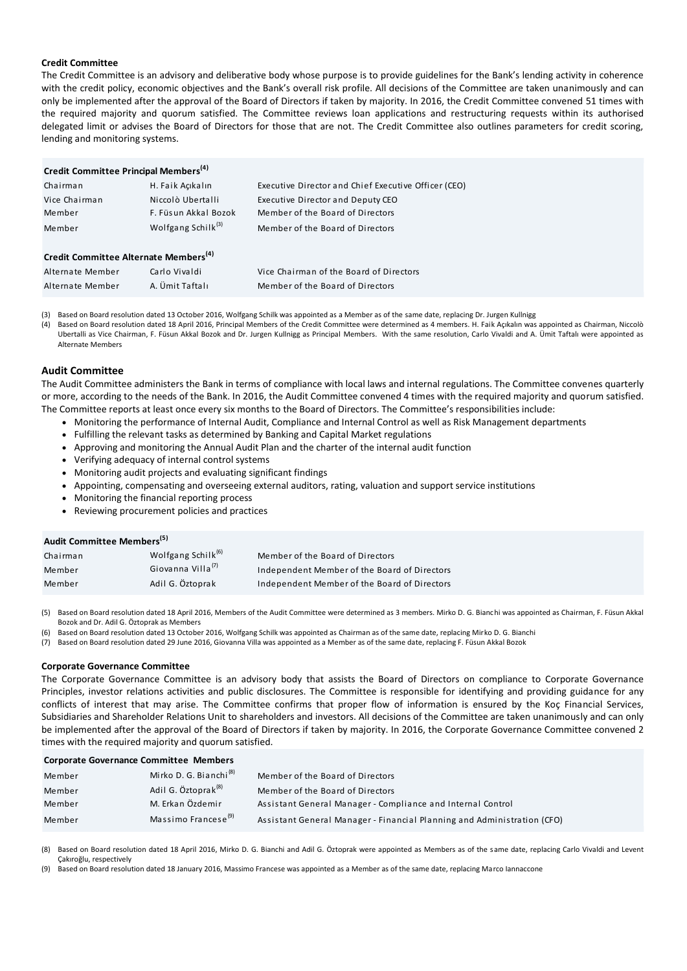# **Credit Committee**

The Credit Committee is an advisory and deliberative body whose purpose is to provide guidelines for the Bank's lending activity in coherence with the credit policy, economic objectives and the Bank's overall risk profile. All decisions of the Committee are taken unanimously and can only be implemented after the approval of the Board of Directors if taken by majority. In 2016, the Credit Committee convened 51 times with the required majority and quorum satisfied. The Committee reviews loan applications and restructuring requests within its authorised delegated limit or advises the Board of Directors for those that are not. The Credit Committee also outlines parameters for credit scoring, lending and monitoring systems.

| Credit Committee Principal Members <sup>(4)</sup> |                                |                                                      |
|---------------------------------------------------|--------------------------------|------------------------------------------------------|
| Chairman                                          | H. Faik Acıkalın               | Executive Director and Chief Executive Officer (CEO) |
| Vice Chairman                                     | Niccolò Ubertalli              | Executive Director and Deputy CEO                    |
| Member                                            | F. Füsun Akkal Bozok           | Member of the Board of Directors                     |
| Member                                            | Wolfgang Schilk <sup>(3)</sup> | Member of the Board of Directors                     |
| Credit Committee Alternate Members <sup>(4)</sup> |                                |                                                      |
| Alternate Member                                  | Carlo Vivaldi                  | Vice Chairman of the Board of Directors              |
| Alternate Member                                  | A. Ümit Taftalı                | Member of the Board of Directors                     |
|                                                   |                                |                                                      |

(3) Based on Board resolution dated 13 October 2016, Wolfgang Schilk was appointed as a Member as of the same date, replacing Dr. Jurgen Kullnigg

(4) Based on Board resolution dated 18 April 2016, Principal Members of the Credit Committee were determined as 4 members. H. Faik Açıkalın was appointed as Chairman, Niccolò Ubertalli as Vice Chairman, F. Füsun Akkal Bozok and Dr. Jurgen Kullnigg as Principal Members. With the same resolution, Carlo Vivaldi and A. Ümit Taftalı were appointed as Alternate Members

# **Audit Committee**

The Audit Committee administers the Bank in terms of compliance with local laws and internal regulations. The Committee convenes quarterly or more, according to the needs of the Bank. In 2016, the Audit Committee convened 4 times with the required majority and quorum satisfied. The Committee reports at least once every six months to the Board of Directors. The Committee's responsibilities include:

- Monitoring the performance of Internal Audit, Compliance and Internal Control as well as Risk Management departments
- Fulfilling the relevant tasks as determined by Banking and Capital Market regulations
- Approving and monitoring the Annual Audit Plan and the charter of the internal audit function
- Verifying adequacy of internal control systems
- Monitoring audit projects and evaluating significant findings
- Appointing, compensating and overseeing external auditors, rating, valuation and support service institutions
- Monitoring the financial reporting process
- 

| <b>NOTILOTING the Imancial reporting process</b><br>• Reviewing procurement policies and practices |                                |                                              |  |
|----------------------------------------------------------------------------------------------------|--------------------------------|----------------------------------------------|--|
| Audit Committee Members <sup>(5)</sup>                                                             |                                |                                              |  |
| Chairman                                                                                           | Wolfgang Schilk <sup>(6)</sup> | Member of the Board of Directors             |  |
| Member                                                                                             | Giovanna Villa <sup>(7)</sup>  | Independent Member of the Board of Directors |  |
| Member                                                                                             | Adil G. Öztoprak               | Independent Member of the Board of Directors |  |

(5) Based on Board resolution dated 18 April 2016, Members of the Audit Committee were determined as 3 members. Mirko D. G. Bianchi was appointed as Chairman, F. Füsun Akkal Bozok and Dr. Adil G. Öztoprak as Members

(6) Based on Board resolution dated 13 October 2016, Wolfgang Schilk was appointed as Chairman as of the same date, replacing Mirko D. G. Bianchi

(7) Based on Board resolution dated 29 June 2016, Giovanna Villa was appointed as a Member as of the same date, replacing F. Füsun Akkal Bozok

## **Corporate Governance Committee**

The Corporate Governance Committee is an advisory body that assists the Board of Directors on compliance to Corporate Governance Principles, investor relations activities and public disclosures. The Committee is responsible for identifying and providing guidance for any conflicts of interest that may arise. The Committee confirms that proper flow of information is ensured by the Koç Financial Services, Subsidiaries and Shareholder Relations Unit to shareholders and investors. All decisions of the Committee are taken unanimously and can only be implemented after the approval of the Board of Directors if taken by majority. In 2016, the Corporate Governance Committee convened 2 times with the required majority and quorum satisfied.

| <b>Corporate Governance Committee Members</b> |                                    |                                                                         |  |
|-----------------------------------------------|------------------------------------|-------------------------------------------------------------------------|--|
| Member                                        | Mirko D. G. Bianchi <sup>(8)</sup> | Member of the Board of Directors                                        |  |
| Member                                        | Adil G. Öztoprak <sup>(8)</sup>    | Member of the Board of Directors                                        |  |
| Member                                        | M. Erkan Özdemir                   | Assistant General Manager - Compliance and Internal Control             |  |
| Member                                        | Massimo Francese <sup>(9)</sup>    | Assistant General Manager - Financial Planning and Administration (CFO) |  |

(8) Based on Board resolution dated 18 April 2016, Mirko D. G. Bianchi and Adil G. Öztoprak were appointed as Members as of the same date, replacing Carlo Vivaldi and Levent Çakıroğlu, respectively

(9) Based on Board resolution dated 18 January 2016, Massimo Francese was appointed as a Member as of the same date, replacing Marco Iannaccone